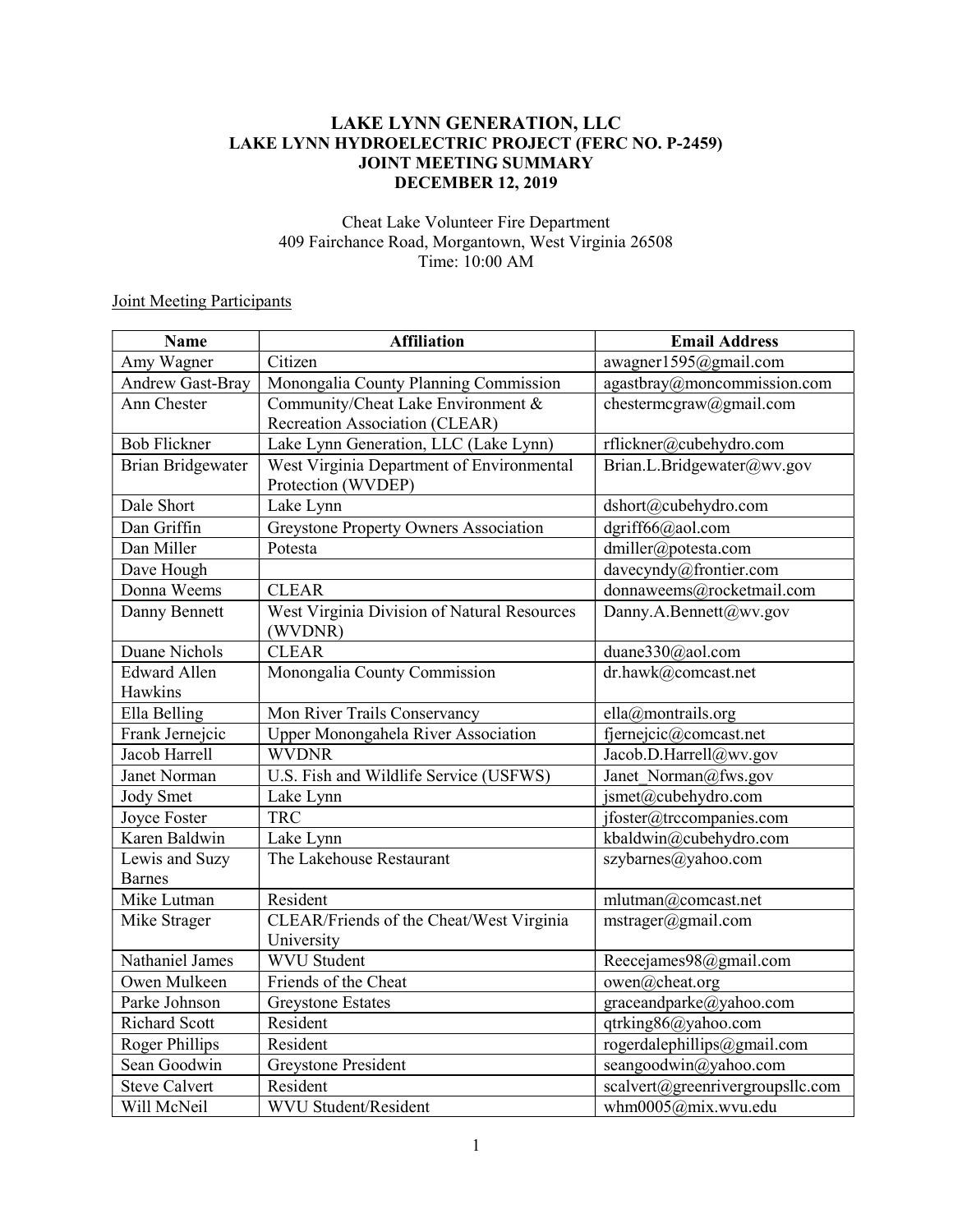# LAKE LYNN GENERATION, LLC LAKE LYNN HYDROELECTRIC PROJECT (FERC NO. P-2459) JOINT MEETING SUMMARY DECEMBER 12, 2019

### Cheat Lake Volunteer Fire Department 409 Fairchance Road, Morgantown, West Virginia 26508 Time: 10:00 AM

# **Joint Meeting Participants**

| <b>Name</b>                     | <b>Affiliation</b>                                                   | <b>Email Address</b>                      |
|---------------------------------|----------------------------------------------------------------------|-------------------------------------------|
| Amy Wagner                      | Citizen                                                              | awagner1595@gmail.com                     |
| <b>Andrew Gast-Bray</b>         | Monongalia County Planning Commission                                | $\overline{agast}$ bray@moncommission.com |
| Ann Chester                     | Community/Cheat Lake Environment &<br>Recreation Association (CLEAR) | chestermcgraw@gmail.com                   |
| <b>Bob Flickner</b>             | Lake Lynn Generation, LLC (Lake Lynn)                                | rflickner@cubehydro.com                   |
| <b>Brian Bridgewater</b>        | West Virginia Department of Environmental<br>Protection (WVDEP)      | Brian.L.Bridgewater@wv.gov                |
| Dale Short                      | Lake Lynn                                                            | dshort@cubehydro.com                      |
| Dan Griffin                     | Greystone Property Owners Association                                | dgriff66@aol.com                          |
| Dan Miller                      | Potesta                                                              | dmiller@potesta.com                       |
| Dave Hough                      |                                                                      | davecyndy@frontier.com                    |
| Donna Weems                     | <b>CLEAR</b>                                                         | donnaweems@rocketmail.com                 |
| Danny Bennett                   | West Virginia Division of Natural Resources<br>(WVDNR)               | Danny.A.Bennett@wv.gov                    |
| Duane Nichols                   | <b>CLEAR</b>                                                         | duane330@aol.com                          |
| <b>Edward Allen</b><br>Hawkins  | Monongalia County Commission                                         | dr.hawk@comcast.net                       |
| Ella Belling                    | Mon River Trails Conservancy                                         | ella@montrails.org                        |
| Frank Jernejcic                 | Upper Monongahela River Association                                  | fjernejcic@comcast.net                    |
| Jacob Harrell                   | <b>WVDNR</b>                                                         | Jacob.D.Harrell@wv.gov                    |
| Janet Norman                    | U.S. Fish and Wildlife Service (USFWS)                               | Janet Norman@fws.gov                      |
| Jody Smet                       | Lake Lynn                                                            | jsmet@cubehydro.com                       |
| <b>Joyce Foster</b>             | <b>TRC</b>                                                           | jfoster@trccompanies.com                  |
| Karen Baldwin                   | Lake Lynn                                                            | kbaldwin@cubehydro.com                    |
| Lewis and Suzy<br><b>Barnes</b> | The Lakehouse Restaurant                                             | szybarnes@yahoo.com                       |
| Mike Lutman                     | Resident                                                             | mlutman@comcast.net                       |
| Mike Strager                    | CLEAR/Friends of the Cheat/West Virginia<br>University               | mstrager@gmail.com                        |
| Nathaniel James                 | <b>WVU Student</b>                                                   | Reecejames98@gmail.com                    |
| Owen Mulkeen                    | Friends of the Cheat                                                 | owen@cheat.org                            |
| Parke Johnson                   | <b>Greystone Estates</b>                                             | graceandparke@yahoo.com                   |
| <b>Richard Scott</b>            | Resident                                                             | qtrking86@yahoo.com                       |
| <b>Roger Phillips</b>           | Resident                                                             | rogerdalephillips@gmail.com               |
| Sean Goodwin                    | <b>Greystone President</b>                                           | seangoodwin@yahoo.com                     |
| <b>Steve Calvert</b>            | Resident                                                             | scalvert@greenrivergroupsllc.com          |
| Will McNeil                     | <b>WVU</b> Student/Resident                                          | whm0005@mix.wvu.edu                       |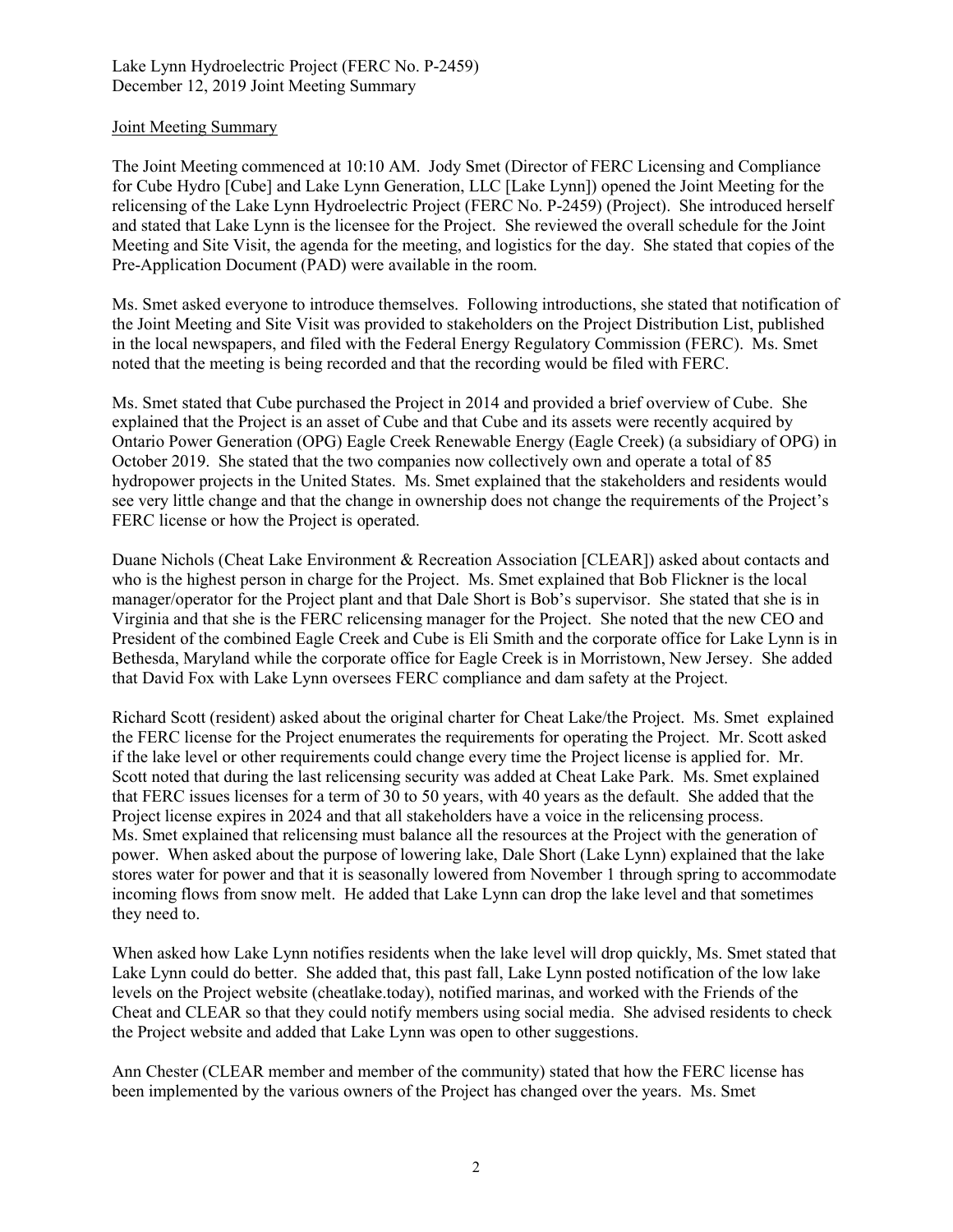### Joint Meeting Summary

The Joint Meeting commenced at 10:10 AM. Jody Smet (Director of FERC Licensing and Compliance for Cube Hydro [Cube] and Lake Lynn Generation, LLC [Lake Lynn]) opened the Joint Meeting for the relicensing of the Lake Lynn Hydroelectric Project (FERC No. P-2459) (Project). She introduced herself and stated that Lake Lynn is the licensee for the Project. She reviewed the overall schedule for the Joint Meeting and Site Visit, the agenda for the meeting, and logistics for the day. She stated that copies of the Pre-Application Document (PAD) were available in the room.

Ms. Smet asked everyone to introduce themselves. Following introductions, she stated that notification of the Joint Meeting and Site Visit was provided to stakeholders on the Project Distribution List, published in the local newspapers, and filed with the Federal Energy Regulatory Commission (FERC). Ms. Smet noted that the meeting is being recorded and that the recording would be filed with FERC.

Ms. Smet stated that Cube purchased the Project in 2014 and provided a brief overview of Cube. She explained that the Project is an asset of Cube and that Cube and its assets were recently acquired by Ontario Power Generation (OPG) Eagle Creek Renewable Energy (Eagle Creek) (a subsidiary of OPG) in October 2019. She stated that the two companies now collectively own and operate a total of 85 hydropower projects in the United States. Ms. Smet explained that the stakeholders and residents would see very little change and that the change in ownership does not change the requirements of the Project's FERC license or how the Project is operated.

Duane Nichols (Cheat Lake Environment & Recreation Association [CLEAR]) asked about contacts and who is the highest person in charge for the Project. Ms. Smet explained that Bob Flickner is the local manager/operator for the Project plant and that Dale Short is Bob's supervisor. She stated that she is in Virginia and that she is the FERC relicensing manager for the Project. She noted that the new CEO and President of the combined Eagle Creek and Cube is Eli Smith and the corporate office for Lake Lynn is in Bethesda, Maryland while the corporate office for Eagle Creek is in Morristown, New Jersey. She added that David Fox with Lake Lynn oversees FERC compliance and dam safety at the Project.

Richard Scott (resident) asked about the original charter for Cheat Lake/the Project. Ms. Smet explained the FERC license for the Project enumerates the requirements for operating the Project. Mr. Scott asked if the lake level or other requirements could change every time the Project license is applied for. Mr. Scott noted that during the last relicensing security was added at Cheat Lake Park. Ms. Smet explained that FERC issues licenses for a term of 30 to 50 years, with 40 years as the default. She added that the Project license expires in 2024 and that all stakeholders have a voice in the relicensing process. Ms. Smet explained that relicensing must balance all the resources at the Project with the generation of power. When asked about the purpose of lowering lake, Dale Short (Lake Lynn) explained that the lake stores water for power and that it is seasonally lowered from November 1 through spring to accommodate incoming flows from snow melt. He added that Lake Lynn can drop the lake level and that sometimes they need to.

When asked how Lake Lynn notifies residents when the lake level will drop quickly, Ms. Smet stated that Lake Lynn could do better. She added that, this past fall, Lake Lynn posted notification of the low lake levels on the Project website (cheatlake.today), notified marinas, and worked with the Friends of the Cheat and CLEAR so that they could notify members using social media. She advised residents to check the Project website and added that Lake Lynn was open to other suggestions.

Ann Chester (CLEAR member and member of the community) stated that how the FERC license has been implemented by the various owners of the Project has changed over the years. Ms. Smet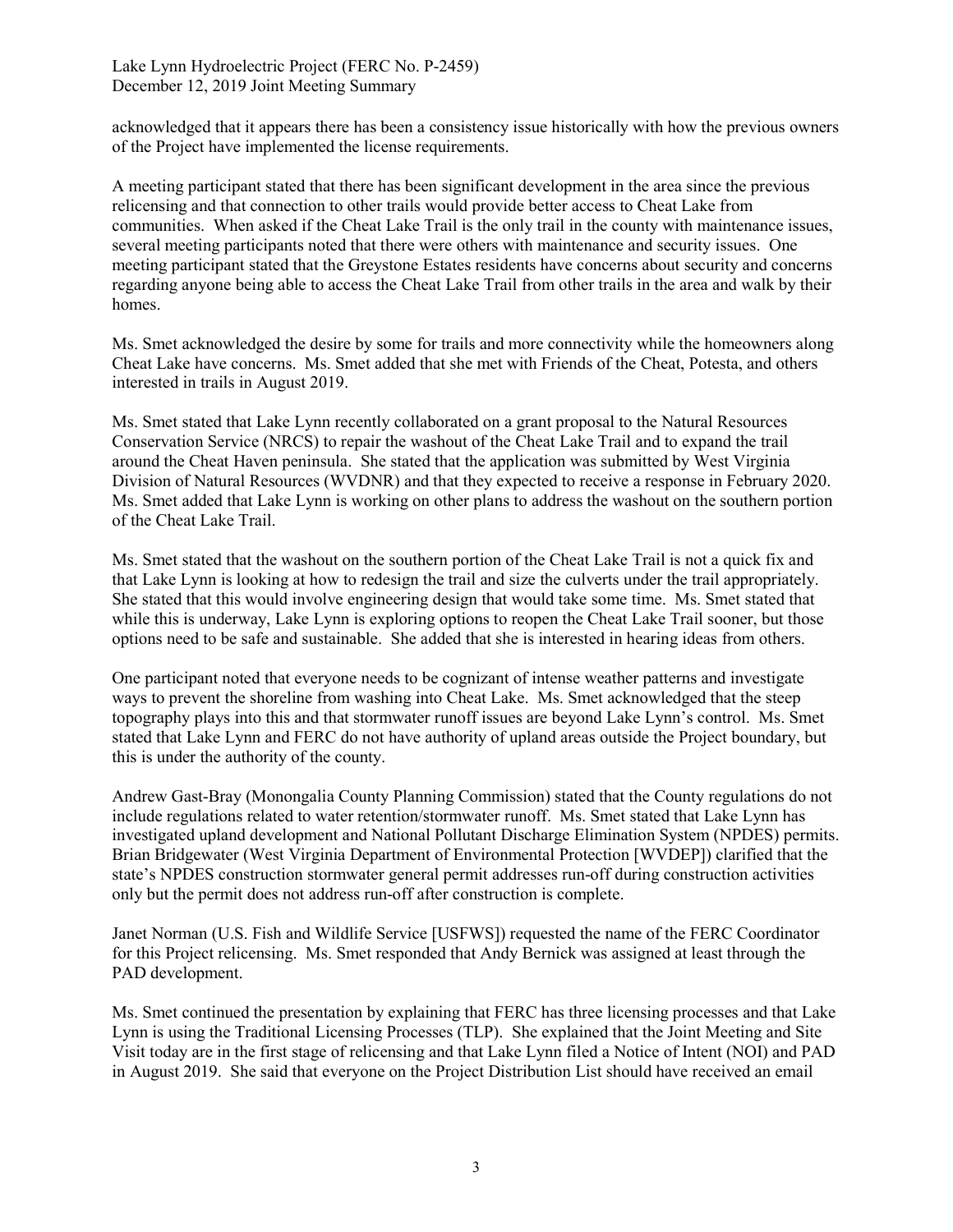acknowledged that it appears there has been a consistency issue historically with how the previous owners of the Project have implemented the license requirements.

A meeting participant stated that there has been significant development in the area since the previous relicensing and that connection to other trails would provide better access to Cheat Lake from communities. When asked if the Cheat Lake Trail is the only trail in the county with maintenance issues, several meeting participants noted that there were others with maintenance and security issues. One meeting participant stated that the Greystone Estates residents have concerns about security and concerns regarding anyone being able to access the Cheat Lake Trail from other trails in the area and walk by their homes.

Ms. Smet acknowledged the desire by some for trails and more connectivity while the homeowners along Cheat Lake have concerns. Ms. Smet added that she met with Friends of the Cheat, Potesta, and others interested in trails in August 2019.

Ms. Smet stated that Lake Lynn recently collaborated on a grant proposal to the Natural Resources Conservation Service (NRCS) to repair the washout of the Cheat Lake Trail and to expand the trail around the Cheat Haven peninsula. She stated that the application was submitted by West Virginia Division of Natural Resources (WVDNR) and that they expected to receive a response in February 2020. Ms. Smet added that Lake Lynn is working on other plans to address the washout on the southern portion of the Cheat Lake Trail.

Ms. Smet stated that the washout on the southern portion of the Cheat Lake Trail is not a quick fix and that Lake Lynn is looking at how to redesign the trail and size the culverts under the trail appropriately. She stated that this would involve engineering design that would take some time. Ms. Smet stated that while this is underway, Lake Lynn is exploring options to reopen the Cheat Lake Trail sooner, but those options need to be safe and sustainable. She added that she is interested in hearing ideas from others.

One participant noted that everyone needs to be cognizant of intense weather patterns and investigate ways to prevent the shoreline from washing into Cheat Lake. Ms. Smet acknowledged that the steep topography plays into this and that stormwater runoff issues are beyond Lake Lynn's control. Ms. Smet stated that Lake Lynn and FERC do not have authority of upland areas outside the Project boundary, but this is under the authority of the county.

Andrew Gast-Bray (Monongalia County Planning Commission) stated that the County regulations do not include regulations related to water retention/stormwater runoff. Ms. Smet stated that Lake Lynn has investigated upland development and National Pollutant Discharge Elimination System (NPDES) permits. Brian Bridgewater (West Virginia Department of Environmental Protection [WVDEP]) clarified that the state's NPDES construction stormwater general permit addresses run-off during construction activities only but the permit does not address run-off after construction is complete.

Janet Norman (U.S. Fish and Wildlife Service [USFWS]) requested the name of the FERC Coordinator for this Project relicensing. Ms. Smet responded that Andy Bernick was assigned at least through the PAD development.

Ms. Smet continued the presentation by explaining that FERC has three licensing processes and that Lake Lynn is using the Traditional Licensing Processes (TLP). She explained that the Joint Meeting and Site Visit today are in the first stage of relicensing and that Lake Lynn filed a Notice of Intent (NOI) and PAD in August 2019. She said that everyone on the Project Distribution List should have received an email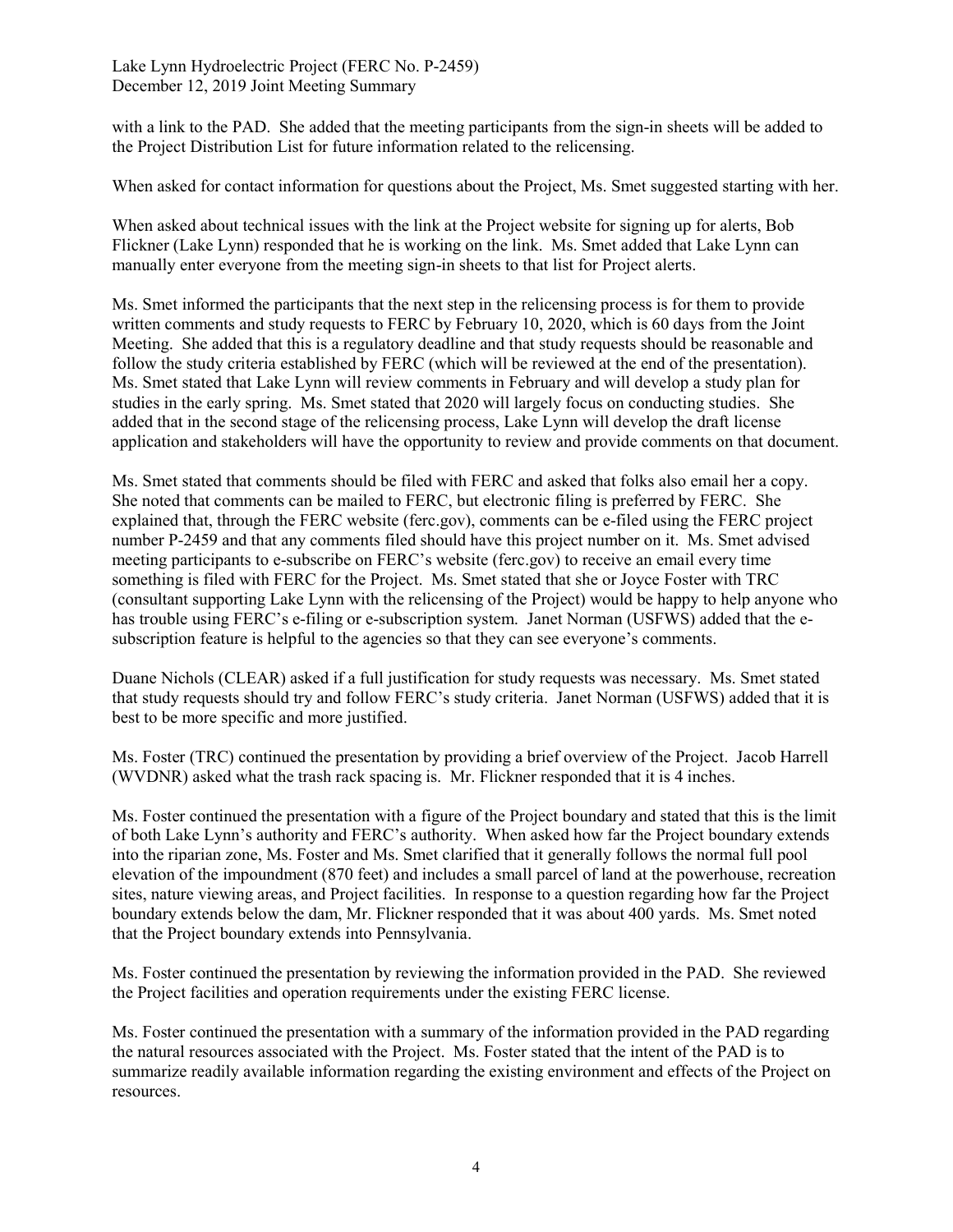with a link to the PAD. She added that the meeting participants from the sign-in sheets will be added to the Project Distribution List for future information related to the relicensing.

When asked for contact information for questions about the Project, Ms. Smet suggested starting with her.

When asked about technical issues with the link at the Project website for signing up for alerts, Bob Flickner (Lake Lynn) responded that he is working on the link. Ms. Smet added that Lake Lynn can manually enter everyone from the meeting sign-in sheets to that list for Project alerts.

Ms. Smet informed the participants that the next step in the relicensing process is for them to provide written comments and study requests to FERC by February 10, 2020, which is 60 days from the Joint Meeting. She added that this is a regulatory deadline and that study requests should be reasonable and follow the study criteria established by FERC (which will be reviewed at the end of the presentation). Ms. Smet stated that Lake Lynn will review comments in February and will develop a study plan for studies in the early spring. Ms. Smet stated that 2020 will largely focus on conducting studies. She added that in the second stage of the relicensing process, Lake Lynn will develop the draft license application and stakeholders will have the opportunity to review and provide comments on that document.

Ms. Smet stated that comments should be filed with FERC and asked that folks also email her a copy. She noted that comments can be mailed to FERC, but electronic filing is preferred by FERC. She explained that, through the FERC website (ferc.gov), comments can be e-filed using the FERC project number P-2459 and that any comments filed should have this project number on it. Ms. Smet advised meeting participants to e-subscribe on FERC's website (ferc.gov) to receive an email every time something is filed with FERC for the Project. Ms. Smet stated that she or Joyce Foster with TRC (consultant supporting Lake Lynn with the relicensing of the Project) would be happy to help anyone who has trouble using FERC's e-filing or e-subscription system. Janet Norman (USFWS) added that the esubscription feature is helpful to the agencies so that they can see everyone's comments.

Duane Nichols (CLEAR) asked if a full justification for study requests was necessary. Ms. Smet stated that study requests should try and follow FERC's study criteria. Janet Norman (USFWS) added that it is best to be more specific and more justified.

Ms. Foster (TRC) continued the presentation by providing a brief overview of the Project. Jacob Harrell (WVDNR) asked what the trash rack spacing is. Mr. Flickner responded that it is 4 inches.

Ms. Foster continued the presentation with a figure of the Project boundary and stated that this is the limit of both Lake Lynn's authority and FERC's authority. When asked how far the Project boundary extends into the riparian zone, Ms. Foster and Ms. Smet clarified that it generally follows the normal full pool elevation of the impoundment (870 feet) and includes a small parcel of land at the powerhouse, recreation sites, nature viewing areas, and Project facilities. In response to a question regarding how far the Project boundary extends below the dam, Mr. Flickner responded that it was about 400 yards. Ms. Smet noted that the Project boundary extends into Pennsylvania.

Ms. Foster continued the presentation by reviewing the information provided in the PAD. She reviewed the Project facilities and operation requirements under the existing FERC license.

Ms. Foster continued the presentation with a summary of the information provided in the PAD regarding the natural resources associated with the Project. Ms. Foster stated that the intent of the PAD is to summarize readily available information regarding the existing environment and effects of the Project on resources.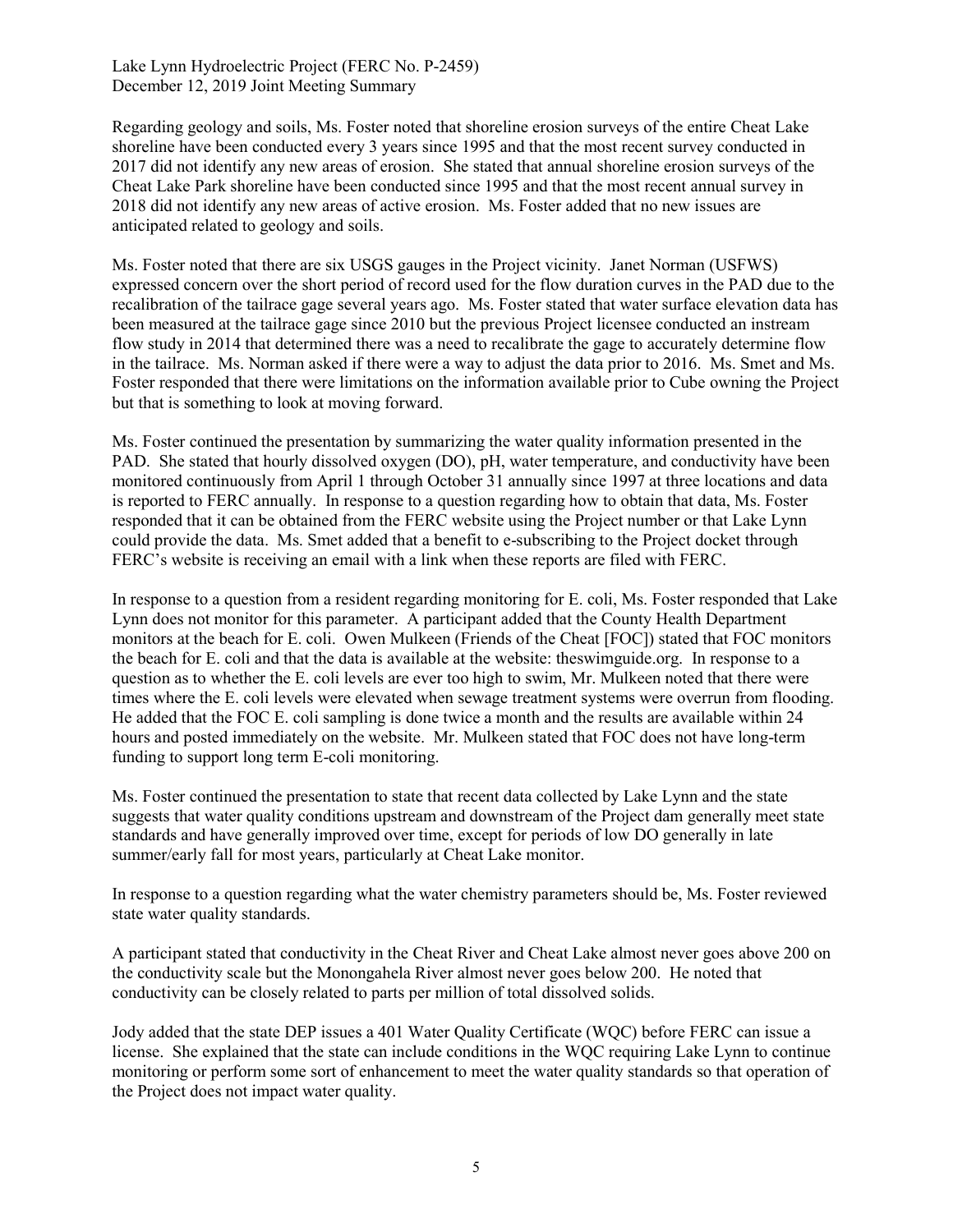Regarding geology and soils, Ms. Foster noted that shoreline erosion surveys of the entire Cheat Lake shoreline have been conducted every 3 years since 1995 and that the most recent survey conducted in 2017 did not identify any new areas of erosion. She stated that annual shoreline erosion surveys of the Cheat Lake Park shoreline have been conducted since 1995 and that the most recent annual survey in 2018 did not identify any new areas of active erosion. Ms. Foster added that no new issues are anticipated related to geology and soils.

Ms. Foster noted that there are six USGS gauges in the Project vicinity. Janet Norman (USFWS) expressed concern over the short period of record used for the flow duration curves in the PAD due to the recalibration of the tailrace gage several years ago. Ms. Foster stated that water surface elevation data has been measured at the tailrace gage since 2010 but the previous Project licensee conducted an instream flow study in 2014 that determined there was a need to recalibrate the gage to accurately determine flow in the tailrace. Ms. Norman asked if there were a way to adjust the data prior to 2016. Ms. Smet and Ms. Foster responded that there were limitations on the information available prior to Cube owning the Project but that is something to look at moving forward.

Ms. Foster continued the presentation by summarizing the water quality information presented in the PAD. She stated that hourly dissolved oxygen (DO), pH, water temperature, and conductivity have been monitored continuously from April 1 through October 31 annually since 1997 at three locations and data is reported to FERC annually. In response to a question regarding how to obtain that data, Ms. Foster responded that it can be obtained from the FERC website using the Project number or that Lake Lynn could provide the data. Ms. Smet added that a benefit to e-subscribing to the Project docket through FERC's website is receiving an email with a link when these reports are filed with FERC.

In response to a question from a resident regarding monitoring for E. coli, Ms. Foster responded that Lake Lynn does not monitor for this parameter. A participant added that the County Health Department monitors at the beach for E. coli. Owen Mulkeen (Friends of the Cheat [FOC]) stated that FOC monitors the beach for E. coli and that the data is available at the website: theswimguide.org. In response to a question as to whether the E. coli levels are ever too high to swim, Mr. Mulkeen noted that there were times where the E. coli levels were elevated when sewage treatment systems were overrun from flooding. He added that the FOC E. coli sampling is done twice a month and the results are available within 24 hours and posted immediately on the website. Mr. Mulkeen stated that FOC does not have long-term funding to support long term E-coli monitoring.

Ms. Foster continued the presentation to state that recent data collected by Lake Lynn and the state suggests that water quality conditions upstream and downstream of the Project dam generally meet state standards and have generally improved over time, except for periods of low DO generally in late summer/early fall for most years, particularly at Cheat Lake monitor.

In response to a question regarding what the water chemistry parameters should be, Ms. Foster reviewed state water quality standards.

A participant stated that conductivity in the Cheat River and Cheat Lake almost never goes above 200 on the conductivity scale but the Monongahela River almost never goes below 200. He noted that conductivity can be closely related to parts per million of total dissolved solids.

Jody added that the state DEP issues a 401 Water Quality Certificate (WQC) before FERC can issue a license. She explained that the state can include conditions in the WQC requiring Lake Lynn to continue monitoring or perform some sort of enhancement to meet the water quality standards so that operation of the Project does not impact water quality.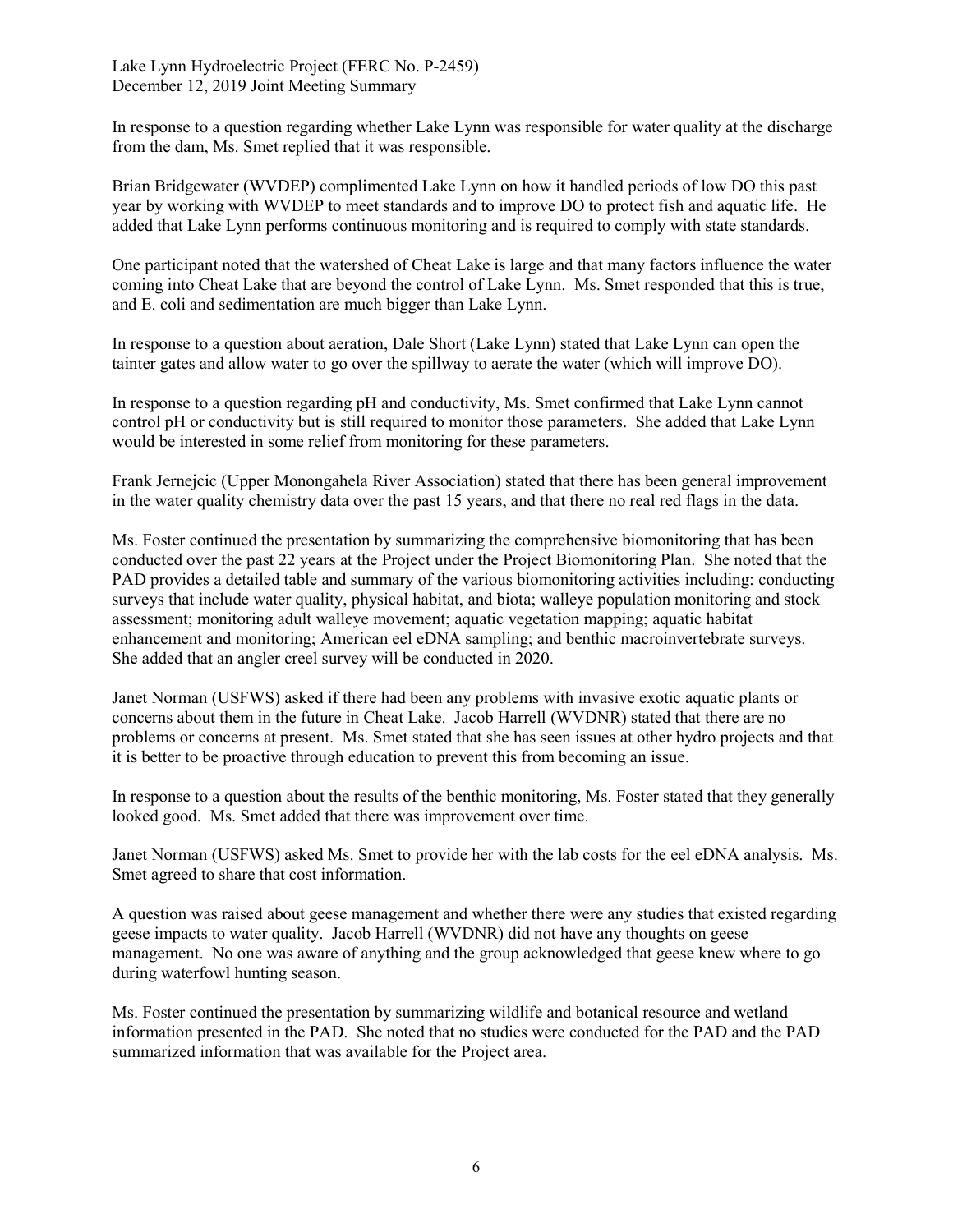In response to a question regarding whether Lake Lynn was responsible for water quality at the discharge from the dam, Ms. Smet replied that it was responsible.

Brian Bridgewater (WVDEP) complimented Lake Lynn on how it handled periods of low DO this past year by working with WVDEP to meet standards and to improve DO to protect fish and aquatic life. He added that Lake Lynn performs continuous monitoring and is required to comply with state standards.

One participant noted that the watershed of Cheat Lake is large and that many factors influence the water coming into Cheat Lake that are beyond the control of Lake Lynn. Ms. Smet responded that this is true, and E. coli and sedimentation are much bigger than Lake Lynn.

In response to a question about aeration, Dale Short (Lake Lynn) stated that Lake Lynn can open the tainter gates and allow water to go over the spillway to aerate the water (which will improve DO).

In response to a question regarding pH and conductivity, Ms. Smet confirmed that Lake Lynn cannot control pH or conductivity but is still required to monitor those parameters. She added that Lake Lynn would be interested in some relief from monitoring for these parameters.

Frank Jernejcic (Upper Monongahela River Association) stated that there has been general improvement in the water quality chemistry data over the past 15 years, and that there no real red flags in the data.

Ms. Foster continued the presentation by summarizing the comprehensive biomonitoring that has been conducted over the past 22 years at the Project under the Project Biomonitoring Plan. She noted that the PAD provides a detailed table and summary of the various biomonitoring activities including: conducting surveys that include water quality, physical habitat, and biota; walleye population monitoring and stock assessment; monitoring adult walleye movement; aquatic vegetation mapping; aquatic habitat enhancement and monitoring; American eel eDNA sampling; and benthic macroinvertebrate surveys. She added that an angler creel survey will be conducted in 2020.

Janet Norman (USFWS) asked if there had been any problems with invasive exotic aquatic plants or concerns about them in the future in Cheat Lake. Jacob Harrell (WVDNR) stated that there are no problems or concerns at present. Ms. Smet stated that she has seen issues at other hydro projects and that it is better to be proactive through education to prevent this from becoming an issue.

In response to a question about the results of the benthic monitoring, Ms. Foster stated that they generally looked good. Ms. Smet added that there was improvement over time.

Janet Norman (USFWS) asked Ms. Smet to provide her with the lab costs for the eel eDNA analysis. Ms. Smet agreed to share that cost information.

A question was raised about geese management and whether there were any studies that existed regarding geese impacts to water quality. Jacob Harrell (WVDNR) did not have any thoughts on geese management. No one was aware of anything and the group acknowledged that geese knew where to go during waterfowl hunting season.

Ms. Foster continued the presentation by summarizing wildlife and botanical resource and wetland information presented in the PAD. She noted that no studies were conducted for the PAD and the PAD summarized information that was available for the Project area.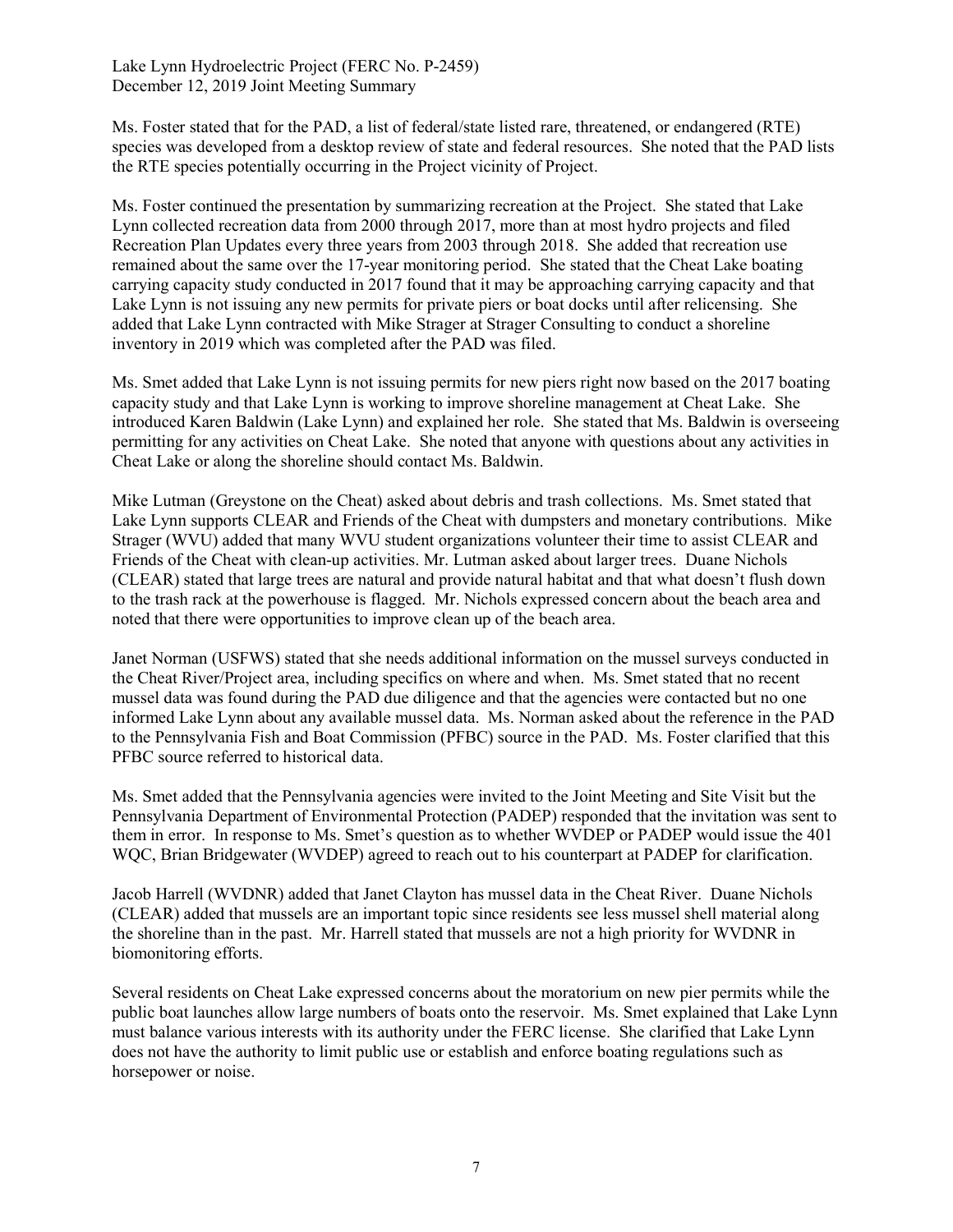Ms. Foster stated that for the PAD, a list of federal/state listed rare, threatened, or endangered (RTE) species was developed from a desktop review of state and federal resources. She noted that the PAD lists the RTE species potentially occurring in the Project vicinity of Project.

Ms. Foster continued the presentation by summarizing recreation at the Project. She stated that Lake Lynn collected recreation data from 2000 through 2017, more than at most hydro projects and filed Recreation Plan Updates every three years from 2003 through 2018. She added that recreation use remained about the same over the 17-year monitoring period. She stated that the Cheat Lake boating carrying capacity study conducted in 2017 found that it may be approaching carrying capacity and that Lake Lynn is not issuing any new permits for private piers or boat docks until after relicensing. She added that Lake Lynn contracted with Mike Strager at Strager Consulting to conduct a shoreline inventory in 2019 which was completed after the PAD was filed.

Ms. Smet added that Lake Lynn is not issuing permits for new piers right now based on the 2017 boating capacity study and that Lake Lynn is working to improve shoreline management at Cheat Lake. She introduced Karen Baldwin (Lake Lynn) and explained her role. She stated that Ms. Baldwin is overseeing permitting for any activities on Cheat Lake. She noted that anyone with questions about any activities in Cheat Lake or along the shoreline should contact Ms. Baldwin.

Mike Lutman (Greystone on the Cheat) asked about debris and trash collections. Ms. Smet stated that Lake Lynn supports CLEAR and Friends of the Cheat with dumpsters and monetary contributions. Mike Strager (WVU) added that many WVU student organizations volunteer their time to assist CLEAR and Friends of the Cheat with clean-up activities. Mr. Lutman asked about larger trees. Duane Nichols (CLEAR) stated that large trees are natural and provide natural habitat and that what doesn't flush down to the trash rack at the powerhouse is flagged. Mr. Nichols expressed concern about the beach area and noted that there were opportunities to improve clean up of the beach area.

Janet Norman (USFWS) stated that she needs additional information on the mussel surveys conducted in the Cheat River/Project area, including specifics on where and when. Ms. Smet stated that no recent mussel data was found during the PAD due diligence and that the agencies were contacted but no one informed Lake Lynn about any available mussel data. Ms. Norman asked about the reference in the PAD to the Pennsylvania Fish and Boat Commission (PFBC) source in the PAD. Ms. Foster clarified that this PFBC source referred to historical data.

Ms. Smet added that the Pennsylvania agencies were invited to the Joint Meeting and Site Visit but the Pennsylvania Department of Environmental Protection (PADEP) responded that the invitation was sent to them in error. In response to Ms. Smet's question as to whether WVDEP or PADEP would issue the 401 WQC, Brian Bridgewater (WVDEP) agreed to reach out to his counterpart at PADEP for clarification.

Jacob Harrell (WVDNR) added that Janet Clayton has mussel data in the Cheat River. Duane Nichols (CLEAR) added that mussels are an important topic since residents see less mussel shell material along the shoreline than in the past. Mr. Harrell stated that mussels are not a high priority for WVDNR in biomonitoring efforts.

Several residents on Cheat Lake expressed concerns about the moratorium on new pier permits while the public boat launches allow large numbers of boats onto the reservoir. Ms. Smet explained that Lake Lynn must balance various interests with its authority under the FERC license. She clarified that Lake Lynn does not have the authority to limit public use or establish and enforce boating regulations such as horsepower or noise.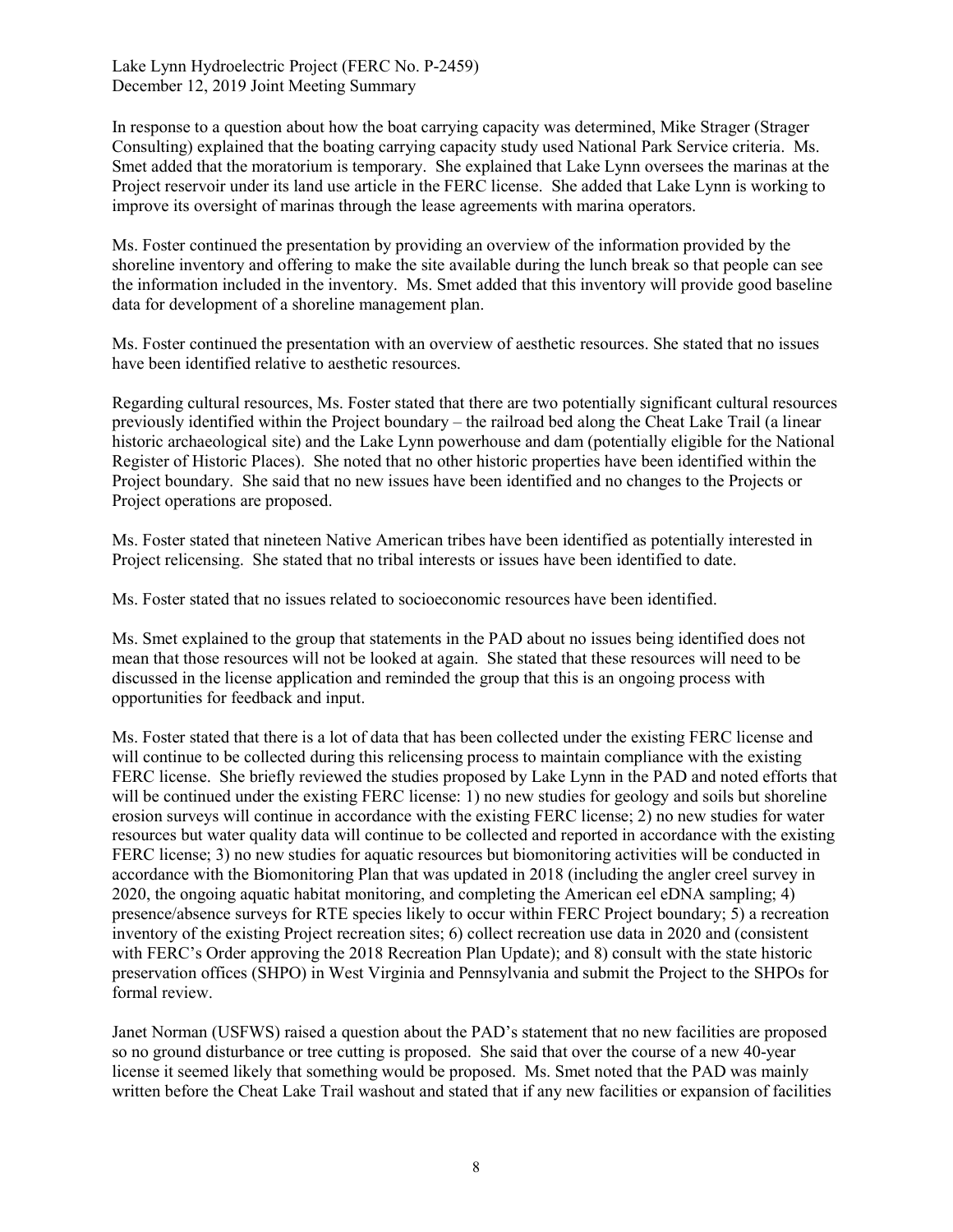In response to a question about how the boat carrying capacity was determined, Mike Strager (Strager Consulting) explained that the boating carrying capacity study used National Park Service criteria. Ms. Smet added that the moratorium is temporary. She explained that Lake Lynn oversees the marinas at the Project reservoir under its land use article in the FERC license. She added that Lake Lynn is working to improve its oversight of marinas through the lease agreements with marina operators.

Ms. Foster continued the presentation by providing an overview of the information provided by the shoreline inventory and offering to make the site available during the lunch break so that people can see the information included in the inventory. Ms. Smet added that this inventory will provide good baseline data for development of a shoreline management plan.

Ms. Foster continued the presentation with an overview of aesthetic resources. She stated that no issues have been identified relative to aesthetic resources.

Regarding cultural resources, Ms. Foster stated that there are two potentially significant cultural resources previously identified within the Project boundary – the railroad bed along the Cheat Lake Trail (a linear historic archaeological site) and the Lake Lynn powerhouse and dam (potentially eligible for the National Register of Historic Places). She noted that no other historic properties have been identified within the Project boundary. She said that no new issues have been identified and no changes to the Projects or Project operations are proposed.

Ms. Foster stated that nineteen Native American tribes have been identified as potentially interested in Project relicensing. She stated that no tribal interests or issues have been identified to date.

Ms. Foster stated that no issues related to socioeconomic resources have been identified.

Ms. Smet explained to the group that statements in the PAD about no issues being identified does not mean that those resources will not be looked at again. She stated that these resources will need to be discussed in the license application and reminded the group that this is an ongoing process with opportunities for feedback and input.

Ms. Foster stated that there is a lot of data that has been collected under the existing FERC license and will continue to be collected during this relicensing process to maintain compliance with the existing FERC license. She briefly reviewed the studies proposed by Lake Lynn in the PAD and noted efforts that will be continued under the existing FERC license: 1) no new studies for geology and soils but shoreline erosion surveys will continue in accordance with the existing FERC license; 2) no new studies for water resources but water quality data will continue to be collected and reported in accordance with the existing FERC license; 3) no new studies for aquatic resources but biomonitoring activities will be conducted in accordance with the Biomonitoring Plan that was updated in 2018 (including the angler creel survey in 2020, the ongoing aquatic habitat monitoring, and completing the American eel eDNA sampling; 4) presence/absence surveys for RTE species likely to occur within FERC Project boundary; 5) a recreation inventory of the existing Project recreation sites; 6) collect recreation use data in 2020 and (consistent with FERC's Order approving the 2018 Recreation Plan Update); and 8) consult with the state historic preservation offices (SHPO) in West Virginia and Pennsylvania and submit the Project to the SHPOs for formal review.

Janet Norman (USFWS) raised a question about the PAD's statement that no new facilities are proposed so no ground disturbance or tree cutting is proposed. She said that over the course of a new 40-year license it seemed likely that something would be proposed. Ms. Smet noted that the PAD was mainly written before the Cheat Lake Trail washout and stated that if any new facilities or expansion of facilities